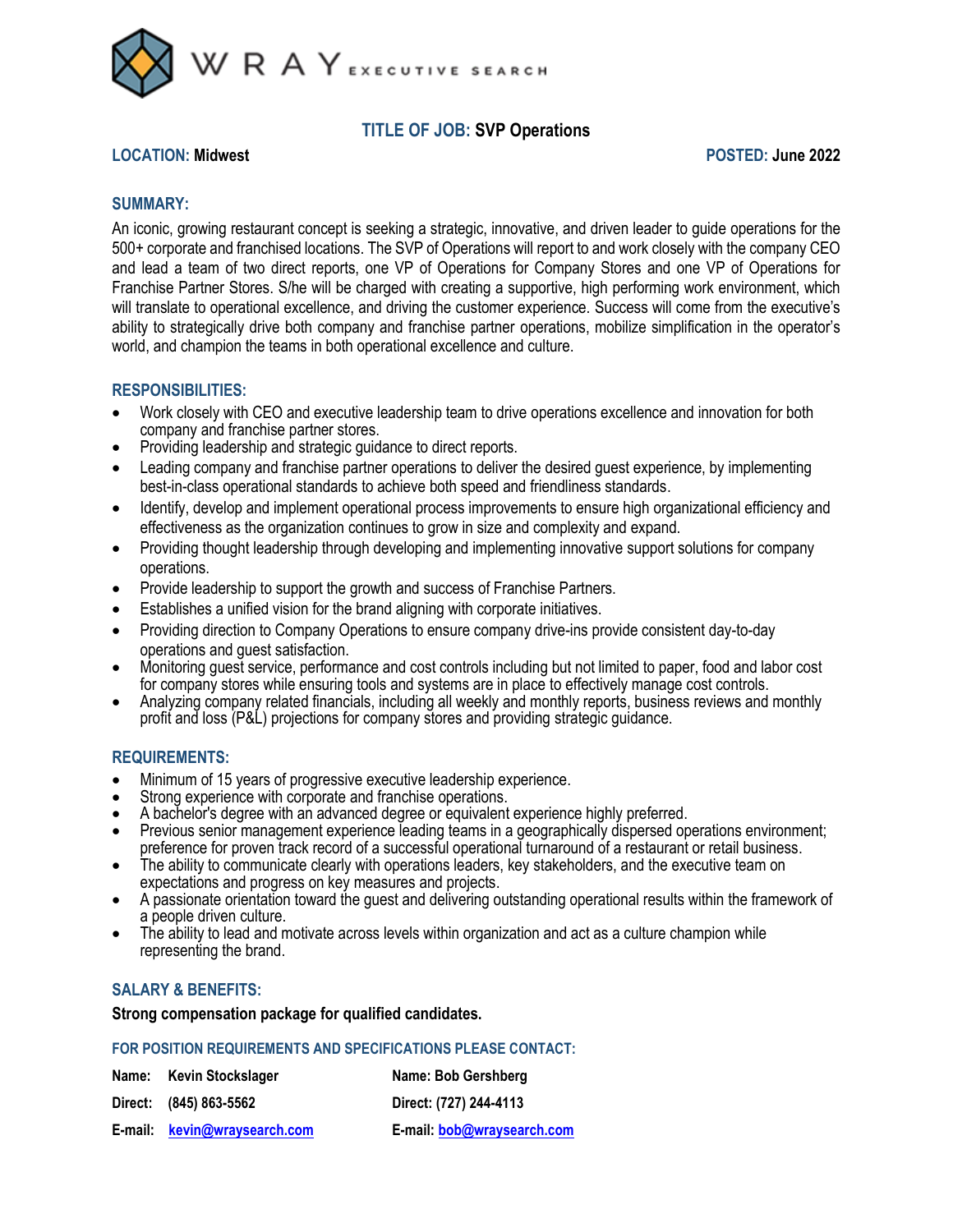

# **TITLE OF JOB: SVP Operations**

### **LOCATION: Midwest POSTED: June 2022**

## **SUMMARY:**

An iconic, growing restaurant concept is seeking a strategic, innovative, and driven leader to guide operations for the 500+ corporate and franchised locations. The SVP of Operations will report to and work closely with the company CEO and lead a team of two direct reports, one VP of Operations for Company Stores and one VP of Operations for Franchise Partner Stores. S/he will be charged with creating a supportive, high performing work environment, which will translate to operational excellence, and driving the customer experience. Success will come from the executive's ability to strategically drive both company and franchise partner operations, mobilize simplification in the operator's world, and champion the teams in both operational excellence and culture.

### **RESPONSIBILITIES:**

- Work closely with CEO and executive leadership team to drive operations excellence and innovation for both company and franchise partner stores.
- Providing leadership and strategic guidance to direct reports.
- Leading company and franchise partner operations to deliver the desired guest experience, by implementing best-in-class operational standards to achieve both speed and friendliness standards.
- Identify, develop and implement operational process improvements to ensure high organizational efficiency and effectiveness as the organization continues to grow in size and complexity and expand.
- Providing thought leadership through developing and implementing innovative support solutions for company operations.
- Provide leadership to support the growth and success of Franchise Partners.
- Establishes a unified vision for the brand aligning with corporate initiatives.
- Providing direction to Company Operations to ensure company drive-ins provide consistent day-to-day operations and guest satisfaction.
- Monitoring guest service, performance and cost controls including but not limited to paper, food and labor cost for company stores while ensuring tools and systems are in place to effectively manage cost controls.
- Analyzing company related financials, including all weekly and monthly reports, business reviews and monthly profit and loss (P&L) projections for company stores and providing strategic guidance.

## **REQUIREMENTS:**

- Minimum of 15 years of progressive executive leadership experience.
- Strong experience with corporate and franchise operations.
- A bachelor's degree with an advanced degree or equivalent experience highly preferred.
- Previous senior management experience leading teams in a geographically dispersed operations environment; preference for proven track record of a successful operational turnaround of a restaurant or retail business.
- The ability to communicate clearly with operations leaders, key stakeholders, and the executive team on expectations and progress on key measures and projects.
- A passionate orientation toward the guest and delivering outstanding operational results within the framework of a people driven culture.
- The ability to lead and motivate across levels within organization and act as a culture champion while representing the brand.

## **SALARY & BENEFITS:**

### **Strong compensation package for qualified candidates.**

#### **FOR POSITION REQUIREMENTS AND SPECIFICATIONS PLEASE CONTACT:**

| Name: Kevin Stockslager      | Name: Bob Gershberg        |
|------------------------------|----------------------------|
| Direct: (845) 863-5562       | Direct: (727) 244-4113     |
| E-mail: kevin@wraysearch.com | E-mail: bob@wraysearch.com |